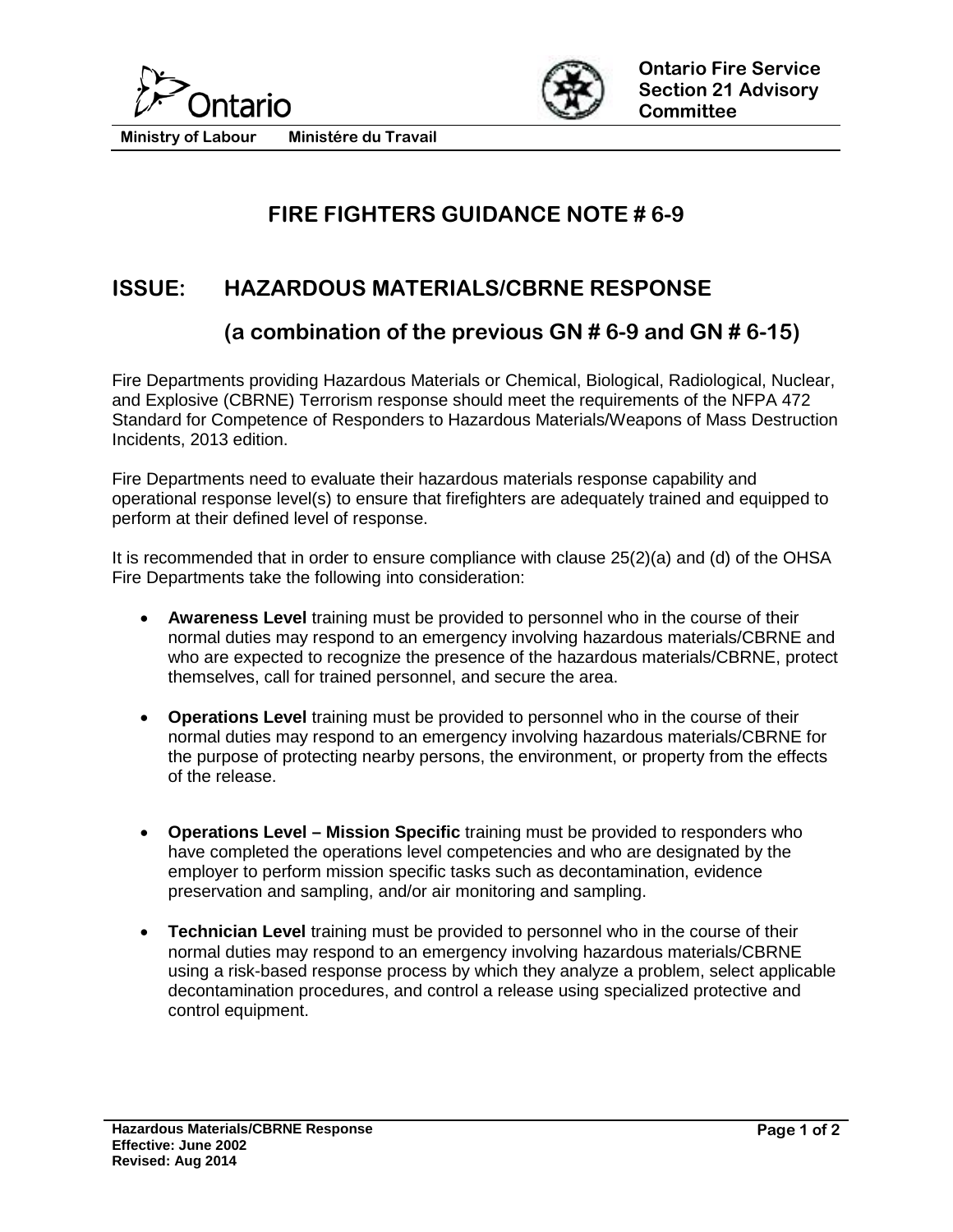



**Ministry of Labour Ministére du Travail**

## **FIRE FIGHTERS GUIDANCE NOTE # 6-9**

## **ISSUE: HAZARDOUS MATERIALS/CBRNE RESPONSE**

## **(a combination of the previous GN # 6-9 and GN # 6-15)**

Fire Departments providing Hazardous Materials or Chemical, Biological, Radiological, Nuclear, and Explosive (CBRNE) Terrorism response should meet the requirements of the NFPA 472 Standard for Competence of Responders to Hazardous Materials/Weapons of Mass Destruction Incidents, 2013 edition.

Fire Departments need to evaluate their hazardous materials response capability and operational response level(s) to ensure that firefighters are adequately trained and equipped to perform at their defined level of response.

It is recommended that in order to ensure compliance with clause 25(2)(a) and (d) of the OHSA Fire Departments take the following into consideration:

- **Awareness Level** training must be provided to personnel who in the course of their normal duties may respond to an emergency involving hazardous materials/CBRNE and who are expected to recognize the presence of the hazardous materials/CBRNE, protect themselves, call for trained personnel, and secure the area.
- **Operations Level** training must be provided to personnel who in the course of their normal duties may respond to an emergency involving hazardous materials/CBRNE for the purpose of protecting nearby persons, the environment, or property from the effects of the release.
- **Operations Level – Mission Specific** training must be provided to responders who have completed the operations level competencies and who are designated by the employer to perform mission specific tasks such as decontamination, evidence preservation and sampling, and/or air monitoring and sampling.
- **Technician Level** training must be provided to personnel who in the course of their normal duties may respond to an emergency involving hazardous materials/CBRNE using a risk-based response process by which they analyze a problem, select applicable decontamination procedures, and control a release using specialized protective and control equipment.